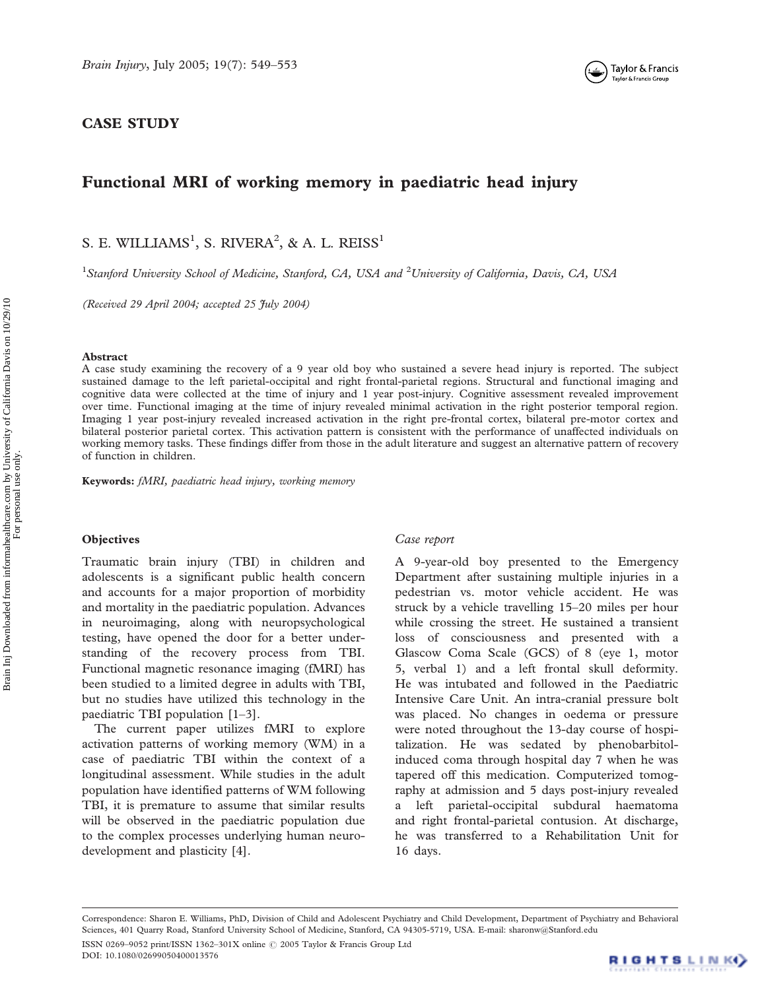

# CASE STUDY

# Functional MRI of working memory in paediatric head injury

S. E. WILLIAMS<sup>1</sup>, S. RIVERA<sup>2</sup>, & A. L. REISS<sup>1</sup>

<sup>1</sup>Stanford University School of Medicine, Stanford, CA, USA and <sup>2</sup>University of California, Davis, CA, USA

(Received 29 April 2004; accepted 25 July 2004)

# Abstract

A case study examining the recovery of a 9 year old boy who sustained a severe head injury is reported. The subject sustained damage to the left parietal-occipital and right frontal-parietal regions. Structural and functional imaging and cognitive data were collected at the time of injury and 1 year post-injury. Cognitive assessment revealed improvement over time. Functional imaging at the time of injury revealed minimal activation in the right posterior temporal region. Imaging 1 year post-injury revealed increased activation in the right pre-frontal cortex, bilateral pre-motor cortex and bilateral posterior parietal cortex. This activation pattern is consistent with the performance of unaffected individuals on working memory tasks. These findings differ from those in the adult literature and suggest an alternative pattern of recovery of function in children.

Keywords: fMRI, paediatric head injury, working memory

# **Objectives**

Traumatic brain injury (TBI) in children and adolescents is a significant public health concern and accounts for a major proportion of morbidity and mortality in the paediatric population. Advances in neuroimaging, along with neuropsychological testing, have opened the door for a better understanding of the recovery process from TBI. Functional magnetic resonance imaging (fMRI) has been studied to a limited degree in adults with TBI, but no studies have utilized this technology in the paediatric TBI population [1–3].

The current paper utilizes fMRI to explore activation patterns of working memory (WM) in a case of paediatric TBI within the context of a longitudinal assessment. While studies in the adult population have identified patterns of WM following TBI, it is premature to assume that similar results will be observed in the paediatric population due to the complex processes underlying human neurodevelopment and plasticity [4].

#### Case report

A 9-year-old boy presented to the Emergency Department after sustaining multiple injuries in a pedestrian vs. motor vehicle accident. He was struck by a vehicle travelling 15–20 miles per hour while crossing the street. He sustained a transient loss of consciousness and presented with a Glascow Coma Scale (GCS) of 8 (eye 1, motor 5, verbal 1) and a left frontal skull deformity. He was intubated and followed in the Paediatric Intensive Care Unit. An intra-cranial pressure bolt was placed. No changes in oedema or pressure were noted throughout the 13-day course of hospitalization. He was sedated by phenobarbitolinduced coma through hospital day 7 when he was tapered off this medication. Computerized tomography at admission and 5 days post-injury revealed a left parietal-occipital subdural haematoma and right frontal-parietal contusion. At discharge, he was transferred to a Rehabilitation Unit for 16 days.

Correspondence: Sharon E. Williams, PhD, Division of Child and Adolescent Psychiatry and Child Development, Department of Psychiatry and Behavioral Sciences, 401 Quarry Road, Stanford University School of Medicine, Stanford, CA 94305-5719, USA. E-mail: sharonw@Stanford.edu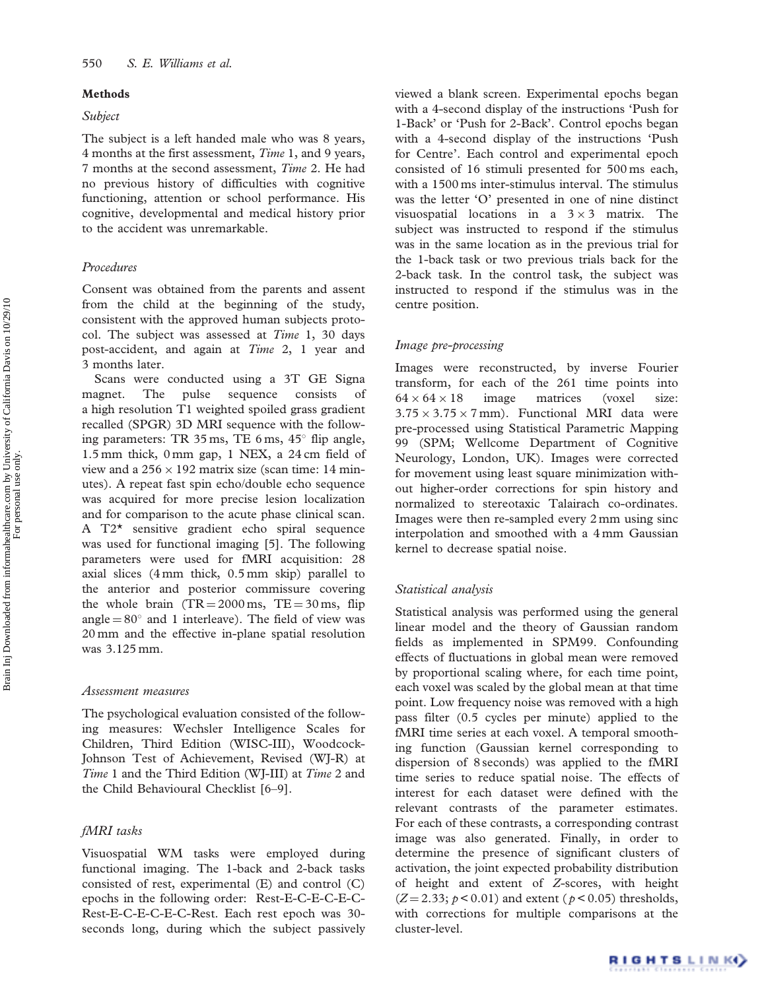# Methods

# Subject

The subject is a left handed male who was 8 years, 4 months at the first assessment, Time 1, and 9 years, 7 months at the second assessment, Time 2. He had no previous history of difficulties with cognitive functioning, attention or school performance. His cognitive, developmental and medical history prior to the accident was unremarkable.

# Procedures

Consent was obtained from the parents and assent from the child at the beginning of the study, consistent with the approved human subjects protocol. The subject was assessed at Time 1, 30 days post-accident, and again at Time 2, 1 year and 3 months later.

Scans were conducted using a 3T GE Signa magnet. The pulse sequence consists of a high resolution T1 weighted spoiled grass gradient recalled (SPGR) 3D MRI sequence with the following parameters: TR  $35 \text{ ms}$ , TE  $6 \text{ ms}$ ,  $45^{\circ}$  flip angle, 1.5 mm thick, 0 mm gap, 1 NEX, a 24 cm field of view and a  $256 \times 192$  matrix size (scan time: 14 minutes). A repeat fast spin echo/double echo sequence was acquired for more precise lesion localization and for comparison to the acute phase clinical scan. A T2\* sensitive gradient echo spiral sequence was used for functional imaging [5]. The following parameters were used for fMRI acquisition: 28 axial slices (4 mm thick, 0.5 mm skip) parallel to the anterior and posterior commissure covering the whole brain  $(TR = 2000 \text{ ms}, TE = 30 \text{ ms}, \text{ flip}$ angle  $= 80^\circ$  and 1 interleave). The field of view was 20 mm and the effective in-plane spatial resolution was 3.125 mm.

#### Assessment measures

The psychological evaluation consisted of the following measures: Wechsler Intelligence Scales for Children, Third Edition (WISC-III), Woodcock-Johnson Test of Achievement, Revised (WJ-R) at Time 1 and the Third Edition (WJ-III) at Time 2 and the Child Behavioural Checklist [6–9].

# fMRI tasks

Visuospatial WM tasks were employed during functional imaging. The 1-back and 2-back tasks consisted of rest, experimental (E) and control (C) epochs in the following order: Rest-E-C-E-C-E-C-Rest-E-C-E-C-E-C-Rest. Each rest epoch was 30 seconds long, during which the subject passively viewed a blank screen. Experimental epochs began with a 4-second display of the instructions 'Push for 1-Back' or 'Push for 2-Back'. Control epochs began with a 4-second display of the instructions 'Push for Centre'. Each control and experimental epoch consisted of 16 stimuli presented for 500 ms each, with a 1500 ms inter-stimulus interval. The stimulus was the letter 'O' presented in one of nine distinct visuospatial locations in a  $3 \times 3$  matrix. The subject was instructed to respond if the stimulus was in the same location as in the previous trial for the 1-back task or two previous trials back for the 2-back task. In the control task, the subject was instructed to respond if the stimulus was in the centre position.

#### Image pre-processing

Images were reconstructed, by inverse Fourier transform, for each of the 261 time points into  $64 \times 64 \times$ image matrices (voxel size:  $3.75 \times 3.75 \times 7$  mm). Functional MRI data were pre-processed using Statistical Parametric Mapping 99 (SPM; Wellcome Department of Cognitive Neurology, London, UK). Images were corrected for movement using least square minimization without higher-order corrections for spin history and normalized to stereotaxic Talairach co-ordinates. Images were then re-sampled every 2 mm using sinc interpolation and smoothed with a 4 mm Gaussian kernel to decrease spatial noise.

# Statistical analysis

Statistical analysis was performed using the general linear model and the theory of Gaussian random fields as implemented in SPM99. Confounding effects of fluctuations in global mean were removed by proportional scaling where, for each time point, each voxel was scaled by the global mean at that time point. Low frequency noise was removed with a high pass filter (0.5 cycles per minute) applied to the fMRI time series at each voxel. A temporal smoothing function (Gaussian kernel corresponding to dispersion of 8 seconds) was applied to the fMRI time series to reduce spatial noise. The effects of interest for each dataset were defined with the relevant contrasts of the parameter estimates. For each of these contrasts, a corresponding contrast image was also generated. Finally, in order to determine the presence of significant clusters of activation, the joint expected probability distribution of height and extent of Z-scores, with height  $(Z = 2.33; p < 0.01)$  and extent ( $p < 0.05$ ) thresholds, with corrections for multiple comparisons at the cluster-level.

For personal use only.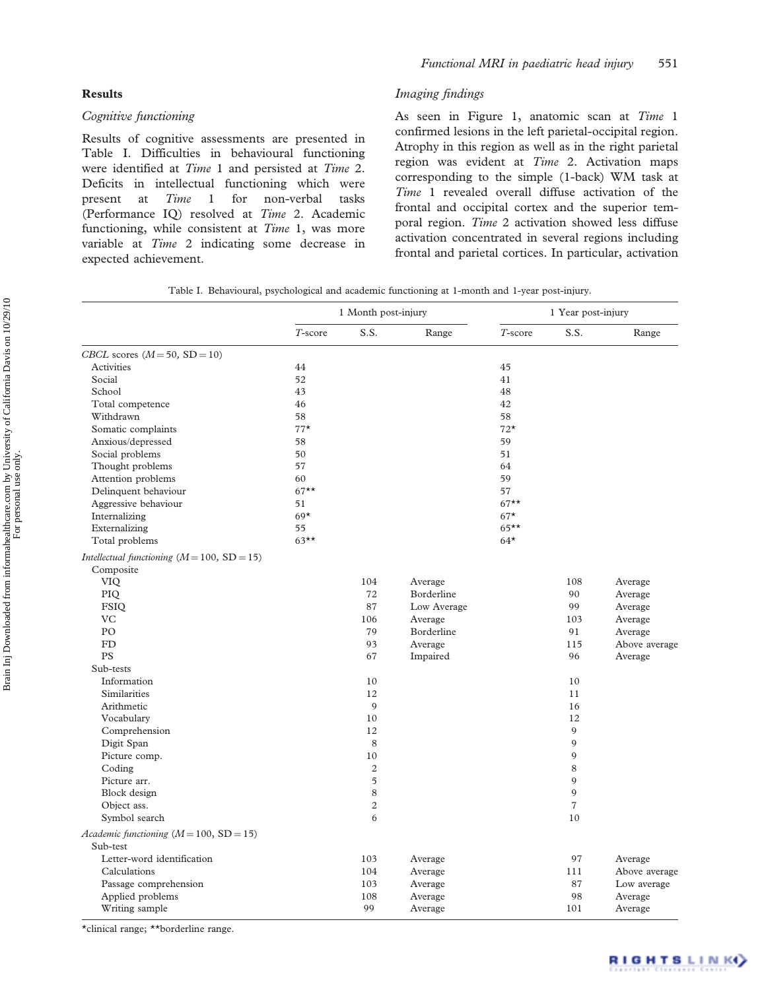# Results

# Cognitive functioning

Results of cognitive assessments are presented in Table I. Difficulties in behavioural functioning were identified at Time 1 and persisted at Time 2. Deficits in intellectual functioning which were present at Time 1 for non-verbal tasks (Performance IQ) resolved at Time 2. Academic functioning, while consistent at Time 1, was more variable at Time 2 indicating some decrease in expected achievement.

# Imaging findings

As seen in Figure 1, anatomic scan at Time 1 confirmed lesions in the left parietal-occipital region. Atrophy in this region as well as in the right parietal region was evident at Time 2. Activation maps corresponding to the simple (1-back) WM task at Time 1 revealed overall diffuse activation of the frontal and occipital cortex and the superior temporal region. Time 2 activation showed less diffuse activation concentrated in several regions including frontal and parietal cortices. In particular, activation

|  | Table I. Behavioural, psychological and academic functioning at 1-month and 1-year post-injury. |  |  |  |  |  |
|--|-------------------------------------------------------------------------------------------------|--|--|--|--|--|
|  |                                                                                                 |  |  |  |  |  |

|                                               |         | 1 Month post-injury |             |         | 1 Year post-injury |               |  |  |
|-----------------------------------------------|---------|---------------------|-------------|---------|--------------------|---------------|--|--|
|                                               | T-score | S.S.                | Range       | T-score | S.S.               | Range         |  |  |
| CBCL scores $(M = 50, SD = 10)$               |         |                     |             |         |                    |               |  |  |
| Activities                                    | 44      |                     |             | 45      |                    |               |  |  |
| Social                                        | 52      |                     |             | 41      |                    |               |  |  |
| School                                        | 43      |                     |             | 48      |                    |               |  |  |
| Total competence                              | 46      |                     |             | 42      |                    |               |  |  |
| Withdrawn                                     | 58      |                     |             | 58      |                    |               |  |  |
| Somatic complaints                            | $77*$   |                     |             | $72*$   |                    |               |  |  |
| Anxious/depressed                             | 58      |                     |             | 59      |                    |               |  |  |
| Social problems                               | 50      |                     |             | 51      |                    |               |  |  |
| Thought problems                              | 57      |                     |             | 64      |                    |               |  |  |
| Attention problems                            | 60      |                     |             | 59      |                    |               |  |  |
| Delinquent behaviour                          | $67**$  |                     |             | 57      |                    |               |  |  |
| Aggressive behaviour                          | 51      |                     |             | $67**$  |                    |               |  |  |
| Internalizing                                 | $69*$   |                     |             | $67*$   |                    |               |  |  |
| Externalizing                                 | 55      |                     |             | $65***$ |                    |               |  |  |
| Total problems                                | $63***$ |                     |             | $64*$   |                    |               |  |  |
| Intellectual functioning $(M = 100, SD = 15)$ |         |                     |             |         |                    |               |  |  |
| Composite                                     |         |                     |             |         |                    |               |  |  |
| VIQ                                           |         | 104                 | Average     |         | 108                | Average       |  |  |
| PIQ                                           |         | 72                  | Borderline  |         | 90                 | Average       |  |  |
| <b>FSIQ</b>                                   |         | 87                  | Low Average |         | 99                 | Average       |  |  |
| <b>VC</b>                                     |         | 106                 | Average     |         | 103                | Average       |  |  |
| PO                                            |         | 79                  | Borderline  |         | 91                 | Average       |  |  |
| FD                                            |         | 93                  | Average     |         | 115                | Above average |  |  |
| <b>PS</b>                                     |         | 67                  | Impaired    |         | 96                 | Average       |  |  |
| Sub-tests                                     |         |                     |             |         |                    |               |  |  |
| Information                                   |         | 10                  |             |         | 10                 |               |  |  |
| <b>Similarities</b>                           |         | 12                  |             |         | 11                 |               |  |  |
| Arithmetic                                    |         | 9                   |             |         | 16                 |               |  |  |
| Vocabulary                                    |         | 10                  |             |         | 12                 |               |  |  |
| Comprehension                                 |         | 12                  |             |         | 9                  |               |  |  |
| Digit Span                                    |         | 8                   |             |         | 9                  |               |  |  |
| Picture comp.                                 |         | 10                  |             |         | 9                  |               |  |  |
| Coding                                        |         | $\overline{c}$      |             |         | 8                  |               |  |  |
| Picture arr.                                  |         | 5                   |             |         | 9                  |               |  |  |
| Block design                                  |         | 8                   |             |         | 9                  |               |  |  |
| Object ass.                                   |         | $\overline{c}$      |             |         | $\overline{7}$     |               |  |  |
| Symbol search                                 |         | 6                   |             |         | 10                 |               |  |  |
| Academic functioning $(M = 100, SD = 15)$     |         |                     |             |         |                    |               |  |  |
| Sub-test                                      |         |                     |             |         |                    |               |  |  |
| Letter-word identification                    |         | 103                 | Average     |         | 97                 | Average       |  |  |
| Calculations                                  |         | 104                 | Average     |         | 111                | Above average |  |  |
| Passage comprehension                         |         | 103                 | Average     |         | 87                 | Low average   |  |  |
| Applied problems                              |         | 108                 | Average     |         | 98                 | Average       |  |  |
| Writing sample                                |         | 99                  | Average     |         | 101                | Average       |  |  |

\*clinical range; \*\*borderline range.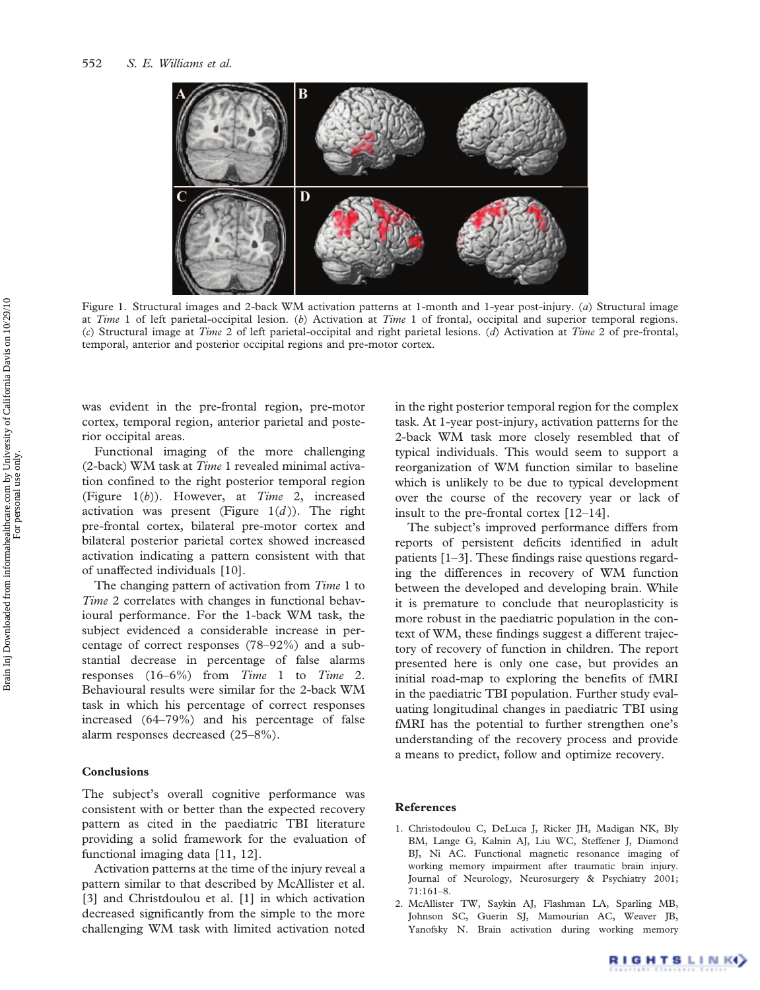

Figure 1. Structural images and 2-back WM activation patterns at 1-month and 1-year post-injury. (a) Structural image at Time 1 of left parietal-occipital lesion. (b) Activation at Time 1 of frontal, occipital and superior temporal regions. (c) Structural image at Time 2 of left parietal-occipital and right parietal lesions. (d) Activation at Time 2 of pre-frontal, temporal, anterior and posterior occipital regions and pre-motor cortex.

was evident in the pre-frontal region, pre-motor cortex, temporal region, anterior parietal and posterior occipital areas.

Functional imaging of the more challenging (2-back) WM task at Time 1 revealed minimal activation confined to the right posterior temporal region (Figure  $1(b)$ ). However, at *Time 2*, increased activation was present (Figure  $1(d)$ ). The right pre-frontal cortex, bilateral pre-motor cortex and bilateral posterior parietal cortex showed increased activation indicating a pattern consistent with that of unaffected individuals [10].

The changing pattern of activation from Time 1 to Time 2 correlates with changes in functional behavioural performance. For the 1-back WM task, the subject evidenced a considerable increase in percentage of correct responses (78–92%) and a substantial decrease in percentage of false alarms responses  $(16–6\%)$  from Time 1 to Time 2. Behavioural results were similar for the 2-back WM task in which his percentage of correct responses increased (64–79%) and his percentage of false alarm responses decreased (25–8%).

# Conclusions

The subject's overall cognitive performance was consistent with or better than the expected recovery pattern as cited in the paediatric TBI literature providing a solid framework for the evaluation of functional imaging data [11, 12].

Activation patterns at the time of the injury reveal a pattern similar to that described by McAllister et al. [3] and Christdoulou et al. [1] in which activation decreased significantly from the simple to the more challenging WM task with limited activation noted

in the right posterior temporal region for the complex task. At 1-year post-injury, activation patterns for the 2-back WM task more closely resembled that of typical individuals. This would seem to support a reorganization of WM function similar to baseline which is unlikely to be due to typical development over the course of the recovery year or lack of insult to the pre-frontal cortex [12–14].

The subject's improved performance differs from reports of persistent deficits identified in adult patients [1–3]. These findings raise questions regarding the differences in recovery of WM function between the developed and developing brain. While it is premature to conclude that neuroplasticity is more robust in the paediatric population in the context of WM, these findings suggest a different trajectory of recovery of function in children. The report presented here is only one case, but provides an initial road-map to exploring the benefits of fMRI in the paediatric TBI population. Further study evaluating longitudinal changes in paediatric TBI using fMRI has the potential to further strengthen one's understanding of the recovery process and provide a means to predict, follow and optimize recovery.

## References

- 1. Christodoulou C, DeLuca J, Ricker JH, Madigan NK, Bly BM, Lange G, Kalnin AJ, Liu WC, Steffener J, Diamond BJ, Ni AC. Functional magnetic resonance imaging of working memory impairment after traumatic brain injury. Journal of Neurology, Neurosurgery & Psychiatry 2001; 71:161–8.
- 2. McAllister TW, Saykin AJ, Flashman LA, Sparling MB, Johnson SC, Guerin SJ, Mamourian AC, Weaver JB, Yanofsky N. Brain activation during working memory